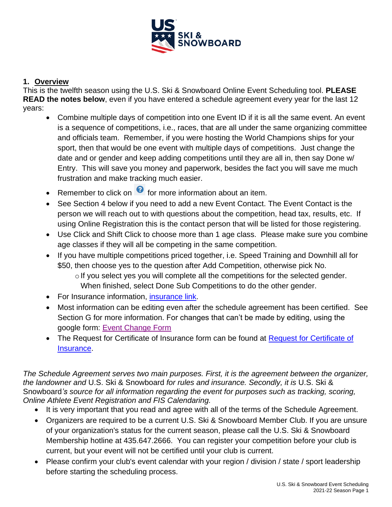

# **1. Overview**

This is the twelfth season using the U.S. Ski & Snowboard Online Event Scheduling tool. **PLEASE READ the notes below**, even if you have entered a schedule agreement every year for the last 12 years:

- Combine multiple days of competition into one Event ID if it is all the same event. An event is a sequence of competitions, i.e., races, that are all under the same organizing committee and officials team. Remember, if you were hosting the World Champions ships for your sport, then that would be one event with multiple days of competitions. Just change the date and or gender and keep adding competitions until they are all in, then say Done w/ Entry. This will save you money and paperwork, besides the fact you will save me much frustration and make tracking much easier.
- Remember to click on  $\bullet$  for more information about an item.
- See Section 4 below if you need to add a new Event Contact. The Event Contact is the person we will reach out to with questions about the competition, head tax, results, etc. If using Online Registration this is the contact person that will be listed for those registering.
- Use Click and Shift Click to choose more than 1 age class. Please make sure you combine age classes if they will all be competing in the same competition.
- If you have multiple competitions priced together, i.e. Speed Training and Downhill all for \$50, then choose yes to the question after Add Competition, otherwise pick No.
	- $\circ$  If you select yes you will complete all the competitions for the selected gender. When finished, select Done Sub Competitions to do the other gender.
- For Insurance information, *insurance link*.
- Most information can be editing even after the schedule agreement has been certified. See Section G for more information. For changes that can't be made by editing, using the google form: [Event Change Form](https://forms.gle/JsuSoT4DYvoo1ES49)
- The [Request for Certificate of](http://buckner.com/us-ski-and-snowboard/) Insurance form can be found at Request for Certificate of [Insurance.](http://buckner.com/us-ski-and-snowboard/)

*The Schedule Agreement serves two main purposes. First, it is the agreement between the organizer, the landowner and* U.S. Ski & Snowboard *for rules and insurance. Secondly, it is* U.S. Ski & Snowboard*'s source for all information regarding the event for purposes such as tracking, scoring, Online Athlete Event Registration and FIS Calendaring.*

- It is very important that you read and agree with all of the terms of the Schedule Agreement.
- Organizers are required to be a current U.S. Ski & Snowboard Member Club. If you are unsure of your organization's status for the current season, please call the U.S. Ski & Snowboard Membership hotline at 435.647.2666. You can register your competition before your club is current, but your event will not be certified until your club is current.
- Please confirm your club's event calendar with your region / division / state / sport leadership before starting the scheduling process.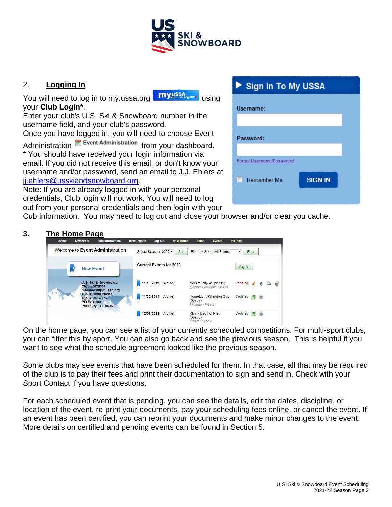

# 2. **Logging In**

You will need to log in to my.ussa.org **myussa** your **Club Login\***.

Enter your club's U.S. Ski & Snowboard number in the username field, and your club's password.

Once you have logged in, you will need to choose Event

Administration **for Event Administration** from your dashboard. \* You should have received your login information via email. If you did not receive this email, or don't know your username and/or password, send an email to J.J. Ehlers at [jj.ehlers@usskiandsnowboard.org.](mailto:jj.ehlers@usskiandsnowboard.org)

Note: If you are already logged in with your personal credentials, Club login will not work. You will need to log out from your personal credentials and then login with your

# **Sign In To My USSA** Username: Password: Forgot Username/Password

**SIGN IN** 

 $\Box$  Remember Me

Cub information. You may need to log out and close your browser and/or clear you cache.

# **3. The Home Page**

| home | new event         | club information                                         | <b>instructions</b> | log out              | ussa home                      | clubs                                            | events                     | refunds   |        |     |   |   |
|------|-------------------|----------------------------------------------------------|---------------------|----------------------|--------------------------------|--------------------------------------------------|----------------------------|-----------|--------|-----|---|---|
|      |                   | Welcome to Event Administration                          |                     | Select Season 2020 v | Set                            |                                                  | Filter by Sport All Sports | ▼         | Filter |     |   |   |
|      | <b>New Event</b>  |                                                          |                     |                      | <b>Current Events for 2020</b> |                                                  |                            | Pay All   |        |     |   |   |
|      | Club #5675004     | U.S. Ski & Snowboard<br>membership@ussa.org              |                     | 11/19/2019 (Alpine)  |                                | NorAm Cup #1 (31111)<br>Copper Mountain Resort   |                            | Pending   |        | Ş   | ₿ | ▥ |
|      | <b>PO Box 100</b> | 4356499090 Phone<br>4356493613 Fax<br>Park City UT 84060 |                     | 11/30/2019 (Alpine)  |                                | (30982)<br>Killington Resort                     | HomeLight Killington Cup   | Certified | 日      | A   |   |   |
|      |                   |                                                          |                     | 12/06/2019 (Alpine)  |                                | Xfinity Birds of Prev<br>(30983)<br>Beaver Creek |                            | Certified |        | FIA |   |   |

On the home page, you can see a list of your currently scheduled competitions. For multi-sport clubs, you can filter this by sport. You can also go back and see the previous season. This is helpful if you want to see what the schedule agreement looked like the previous season.

Some clubs may see events that have been scheduled for them. In that case, all that may be required of the club is to pay their fees and print their documentation to sign and send in. Check with your Sport Contact if you have questions.

For each scheduled event that is pending, you can see the details, edit the dates, discipline, or location of the event, re-print your documents, pay your scheduling fees online, or cancel the event. If an event has been certified, you can reprint your documents and make minor changes to the event. More details on certified and pending events can be found in Section 5.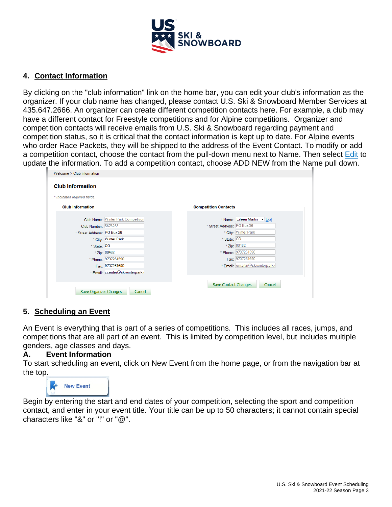

### **4. Contact Information**

By clicking on the "club information" link on the home bar, you can edit your club's information as the organizer. If your club name has changed, please contact U.S. Ski & Snowboard Member Services at 435.647.2666. An organizer can create different competition contacts here. For example, a club may have a different contact for Freestyle competitions and for Alpine competitions. Organizer and competition contacts will receive emails from U.S. Ski & Snowboard regarding payment and competition status, so it is critical that the contact information is kept up to date. For Alpine events who order Race Packets, they will be shipped to the address of the Event Contact. To modify or add a competition contact, choose the contact from the pull-down menu next to Name. Then select Edit to update the information. To add a competition contact, choose ADD NEW from the Name pull down.

| * Indicates required fields.       |                             |                                  |
|------------------------------------|-----------------------------|----------------------------------|
| <b>Club Information</b>            | <b>Competition Contacts</b> |                                  |
| Club Name: Winter Park Competition |                             | * Name: Eileen Martin v Edit     |
| Club Number: 5676283               | * Street Address: PO Box 36 |                                  |
| * Street Address: PO Box 36        |                             | * City: Winter Park              |
| * City: Winter Park                | * State: CO                 |                                  |
| * State: CO                        |                             | * Zip: 80482                     |
| * Zip: 80482                       |                             | * Phone: 9707261590              |
| * Phone: 9707261590                |                             | Fax: 9707261690                  |
| Fax: 9707261690                    |                             | * Email: emartin@skiwinterpark.o |
| * Email: ccenter@skiwinterpark.o   |                             |                                  |

#### **5. Scheduling an Event**

An Event is everything that is part of a series of competitions. This includes all races, jumps, and competitions that are all part of an event. This is limited by competition level, but includes multiple genders, age classes and days.

#### **A. Event Information**

To start scheduling an event, click on New Event from the home page, or from the navigation bar at the top.



Begin by entering the start and end dates of your competition, selecting the sport and competition contact, and enter in your event title. Your title can be up to 50 characters; it cannot contain special characters like "&" or "!" or "@".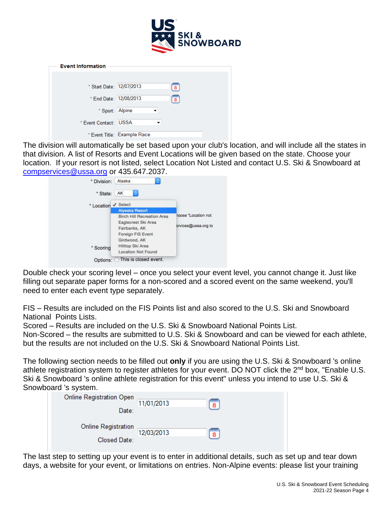

| <b>Event Information</b> |                             |          |
|--------------------------|-----------------------------|----------|
|                          |                             |          |
| * Start Date: 12/07/2013 |                             | imm<br>8 |
| * End Date: 12/08/2013   |                             | imm<br>8 |
| * Sport: Alpine          |                             |          |
| * Event Contact: USSA    | ▼                           |          |
|                          | * Event Title: Example Race |          |

The division will automatically be set based upon your club's location, and will include all the states in that division. A list of Resorts and Event Locations will be given based on the state. Choose your location. If your resort is not listed, select Location Not Listed and contact U.S. Ski & Snowboard at [compservices@ussa.org](mailto:compservices@ussa.org) or 435.647.2037.

| * Division: | Alaska<br>٥                                                                                                    |                                            |
|-------------|----------------------------------------------------------------------------------------------------------------|--------------------------------------------|
| * State:    | AK<br>٥                                                                                                        |                                            |
| *Location   | Select<br><b>Alyeska Resort</b>                                                                                |                                            |
|             | <b>Birch Hill Recreation Area</b><br>Eaglecrest Ski Area<br>Fairbanks, AK<br>Foreign FIS Event<br>Girdwood, AK | hoose "Location not<br>Brvices@ussa.org to |
| * Scoring   | Hilltop Ski Area<br><b>Location Not Found</b>                                                                  |                                            |
| Options:    | This is closed event.                                                                                          |                                            |

Double check your scoring level – once you select your event level, you cannot change it. Just like filling out separate paper forms for a non-scored and a scored event on the same weekend, you'll need to enter each event type separately.

FIS – Results are included on the FIS Points list and also scored to the U.S. Ski and Snowboard National Points Lists.

Scored – Results are included on the U.S. Ski & Snowboard National Points List.

Non-Scored – the results are submitted to U.S. Ski & Snowboard and can be viewed for each athlete, but the results are not included on the U.S. Ski & Snowboard National Points List.

The following section needs to be filled out **only** if you are using the U.S. Ski & Snowboard 's online athlete registration system to register athletes for your event. DO NOT click the 2<sup>nd</sup> box, "Enable U.S. Ski & Snowboard 's online athlete registration for this event" unless you intend to use U.S. Ski & Snowboard 's system.

| <b>Online Registration Open</b> | 11/01/2013 | mm<br>8 |
|---------------------------------|------------|---------|
| Date:                           |            |         |
| <b>Online Registration</b>      | 12/03/2013 | imm     |
| Closed Date:                    |            | 8       |

The last step to setting up your event is to enter in additional details, such as set up and tear down days, a website for your event, or limitations on entries. Non-Alpine events: please list your training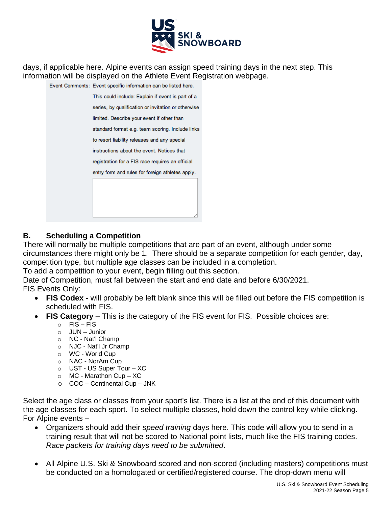

days, if applicable here. Alpine events can assign speed training days in the next step. This information will be displayed on the Athlete Event Registration webpage.

| ent Comments: Event specific information can be listed here. |
|--------------------------------------------------------------|
| This could include: Explain if event is part of a            |
| series, by qualification or invitation or otherwise          |
| limited. Describe your event if other than                   |
| standard format e.g. team scoring. Include links             |
| to resort liability releases and any special                 |
| instructions about the event. Notices that                   |
| registration for a FIS race requires an official             |
| entry form and rules for foreign athletes apply.             |
|                                                              |
|                                                              |
|                                                              |
|                                                              |

# **B. Scheduling a Competition**

There will normally be multiple competitions that are part of an event, although under some circumstances there might only be 1. There should be a separate competition for each gender, day, competition type, but multiple age classes can be included in a completion.

To add a competition to your event, begin filling out this section.

Date of Competition, must fall between the start and end date and before 6/30/2021.

FIS Events Only:

- **FIS Codex** will probably be left blank since this will be filled out before the FIS competition is scheduled with FIS.
- **FIS Category** This is the category of the FIS event for FIS. Possible choices are:
	- $\circ$  FIS FIS
	- o JUN Junior
	- o NC Nat'l Champ
	- o NJC Nat'l Jr Champ
	- o WC World Cup
	- o NAC NorAm Cup
	- o UST US Super Tour XC
	- $\circ$  MC Marathon Cup XC
	- o COC Continental Cup JNK

Select the age class or classes from your sport's list. There is a list at the end of this document with the age classes for each sport. To select multiple classes, hold down the control key while clicking. For Alpine events –

- Organizers should add their *speed training* days here. This code will allow you to send in a training result that will not be scored to National point lists, much like the FIS training codes. *Race packets for training days need to be submitted*.
- All Alpine U.S. Ski & Snowboard scored and non-scored (including masters) competitions must be conducted on a homologated or certified/registered course. The drop-down menu will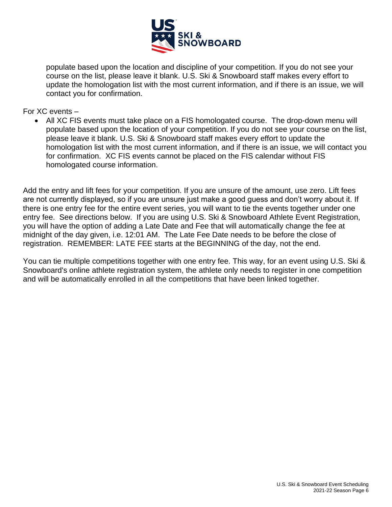

populate based upon the location and discipline of your competition. If you do not see your course on the list, please leave it blank. U.S. Ski & Snowboard staff makes every effort to update the homologation list with the most current information, and if there is an issue, we will contact you for confirmation.

For XC events –

• All XC FIS events must take place on a FIS homologated course. The drop-down menu will populate based upon the location of your competition. If you do not see your course on the list, please leave it blank. U.S. Ski & Snowboard staff makes every effort to update the homologation list with the most current information, and if there is an issue, we will contact you for confirmation. XC FIS events cannot be placed on the FIS calendar without FIS homologated course information.

Add the entry and lift fees for your competition. If you are unsure of the amount, use zero. Lift fees are not currently displayed, so if you are unsure just make a good guess and don't worry about it. If there is one entry fee for the entire event series, you will want to tie the events together under one entry fee. See directions below. If you are using U.S. Ski & Snowboard Athlete Event Registration, you will have the option of adding a Late Date and Fee that will automatically change the fee at midnight of the day given, i.e. 12:01 AM. The Late Fee Date needs to be before the close of registration. REMEMBER: LATE FEE starts at the BEGINNING of the day, not the end.

You can tie multiple competitions together with one entry fee. This way, for an event using U.S. Ski & Snowboard's online athlete registration system, the athlete only needs to register in one competition and will be automatically enrolled in all the competitions that have been linked together.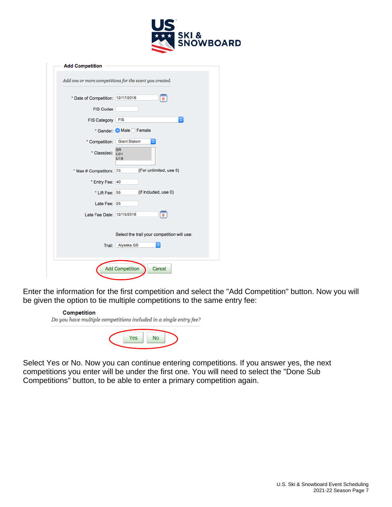

| <b>Add Competition</b>                                                   |
|--------------------------------------------------------------------------|
| Add one or more competitions for the event you created.                  |
| * Date of Competition: 12/17/2016<br>8                                   |
| <b>FIS Codex</b>                                                         |
| $\mathbb{C}^2$<br>FIS Category   FIS                                     |
| * Gender: Male Female                                                    |
| * Competition: Giant Slalom<br>٥                                         |
| <b>SR</b><br>* Class(es): $U_{21}$<br>U19                                |
| (For unlimited, use 0)<br>* Max # Competitors: 75                        |
| * Entry Fee: 40                                                          |
| (if included, use 0)<br>* Lift Fee: 55                                   |
| Late Fee: 25                                                             |
| $\frac{mn}{8}$<br>Late Fee Date: 12/15/2016                              |
| Select the trail your competition will use:<br>Alyeska GS<br>Trail:<br>۰ |
| <b>Add Competition</b><br>Cancel                                         |

Enter the information for the first competition and select the "Add Competition" button. Now you will be given the option to tie multiple competitions to the same entry fee:

#### **Competition** Do you have multiple competitions included in a single entry fee? Yes **No**

Select Yes or No. Now you can continue entering competitions. If you answer yes, the next competitions you enter will be under the first one. You will need to select the "Done Sub Competitions" button, to be able to enter a primary competition again.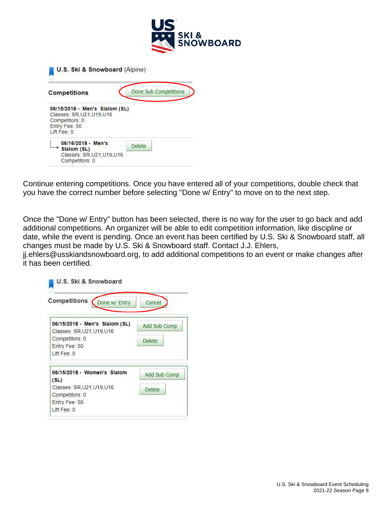

| <b>Competitions</b>                                                                                          | Done Sub Competitions |
|--------------------------------------------------------------------------------------------------------------|-----------------------|
| 06/15/2018 - Men's Slalom (SL)<br>Classes: SR.U21.U19.U16<br>Competitors: 0<br>Entry Fee: 50<br>l ift Fee: 0 |                       |
| 06/16/2018 - Men's<br>Slalom (SL)                                                                            | <b>Delete</b>         |

Continue entering competitions. Once you have entered all of your competitions, double check that you have the correct number before selecting "Done w/ Entry" to move on to the next step.

Once the "Done w/ Entry" button has been selected, there is no way for the user to go back and add additional competitions. An organizer will be able to edit competition information, like discipline or date, while the event is pending. Once an event has been certified by U.S. Ski & Snowboard staff, all changes must be made by U.S. Ski & Snowboard staff. Contact J.J. Ehlers,

jj.ehlers@usskiandsnowboard.org, to add additional competitions to an event or make changes after it has been certified.

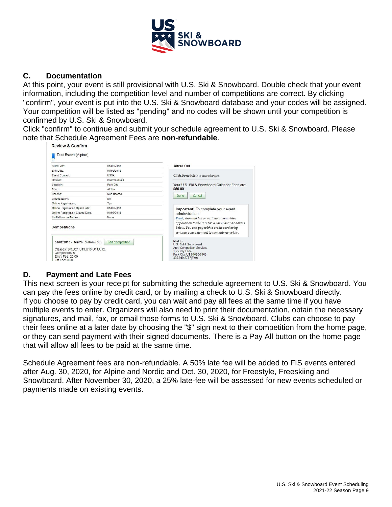

#### **C. Documentation**

At this point, your event is still provisional with U.S. Ski & Snowboard. Double check that your event information, including the competition level and number of competitions are correct. By clicking "confirm", your event is put into the U.S. Ski & Snowboard database and your codes will be assigned. Your competition will be listed as "pending" and no codes will be shown until your competition is confirmed by U.S. Ski & Snowboard.

Click "confirm" to continue and submit your schedule agreement to U.S. Ski & Snowboard. Please note that Schedule Agreement Fees are **non-refundable**.

| Start Date:                                                                                                                            | 01/02/2018              | <b>Check Out</b>                                                                                                                             |
|----------------------------------------------------------------------------------------------------------------------------------------|-------------------------|----------------------------------------------------------------------------------------------------------------------------------------------|
| End Date:                                                                                                                              | 01/02/2018              |                                                                                                                                              |
| <b>Event Contact:</b>                                                                                                                  | USSA                    | Click Done below to save changes.                                                                                                            |
| Division:                                                                                                                              | Intermountain           |                                                                                                                                              |
| Location:                                                                                                                              | Park City               | Your U.S. Ski & Snowboard Calendar Fees are:                                                                                                 |
| Sport:                                                                                                                                 | Alpine                  | \$50.00                                                                                                                                      |
| Scoring:                                                                                                                               | Non Scored              | Cancel<br><b>Done</b>                                                                                                                        |
| Closed Event:                                                                                                                          | No                      |                                                                                                                                              |
| Online Registration:                                                                                                                   | Yes                     |                                                                                                                                              |
| Online Registration Open Date:                                                                                                         | 01/02/2018              | Important! To complete your event                                                                                                            |
| Online Registration Closed Date:                                                                                                       | 01/02/2018              | adminstration:                                                                                                                               |
| Limitations on Entries:                                                                                                                | None                    | Print, sign and fax or mail your completed                                                                                                   |
| Competitions                                                                                                                           |                         | application to the U.S. Ski & Snowboard address<br>below. You can pay with a credit card or by<br>sending your payment to the address below. |
| 01/02/2018 - Men's Slalom (SL)<br>Classes: SR, U21, U19, U16, U14, U12,<br>Competitors: 0<br><b>Entry Fee: 25.00</b><br>Lift Fee: 0.00 | <b>Edit Competition</b> | Mail to:<br>U.S. Ski & Snowboard<br>Attn: Competition Services<br>1 Victory Lane<br>Park City, UT 84060-0100<br>435.940.2777(Fax)            |

# **D. Payment and Late Fees**

This next screen is your receipt for submitting the schedule agreement to U.S. Ski & Snowboard. You can pay the fees online by credit card, or by mailing a check to U.S. Ski & Snowboard directly. If you choose to pay by credit card, you can wait and pay all fees at the same time if you have multiple events to enter. Organizers will also need to print their documentation, obtain the necessary signatures, and mail, fax, or email those forms to U.S. Ski & Snowboard. Clubs can choose to pay their fees online at a later date by choosing the "\$" sign next to their competition from the home page, or they can send payment with their signed documents. There is a Pay All button on the home page that will allow all fees to be paid at the same time.

Schedule Agreement fees are non-refundable. A 50% late fee will be added to FIS events entered after Aug. 30, 2020, for Alpine and Nordic and Oct. 30, 2020, for Freestyle, Freeskiing and Snowboard. After November 30, 2020, a 25% late-fee will be assessed for new events scheduled or payments made on existing events.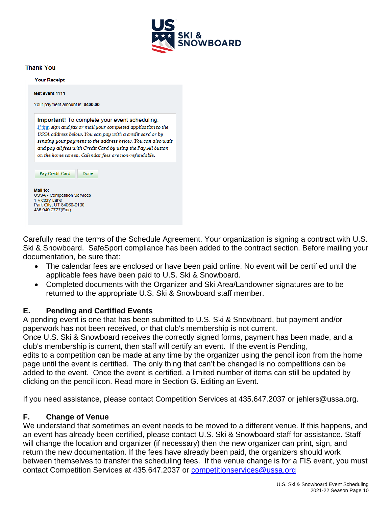

#### **Thank You**

|                                                                                              | Important! To complete your event scheduling:<br>Print, sign and fax or mail your completed application to the<br>USSA address below. You can pay with a credit card or by |
|----------------------------------------------------------------------------------------------|----------------------------------------------------------------------------------------------------------------------------------------------------------------------------|
|                                                                                              |                                                                                                                                                                            |
|                                                                                              |                                                                                                                                                                            |
|                                                                                              |                                                                                                                                                                            |
|                                                                                              | sending your payment to the address below. You can also wait                                                                                                               |
|                                                                                              | and pay all fees with Credit Card by using the Pay All button                                                                                                              |
|                                                                                              | on the home screen. Calendar fees are non-refundable.                                                                                                                      |
|                                                                                              |                                                                                                                                                                            |
| Pay Credit Card                                                                              | Done                                                                                                                                                                       |
|                                                                                              |                                                                                                                                                                            |
|                                                                                              |                                                                                                                                                                            |
|                                                                                              |                                                                                                                                                                            |
|                                                                                              |                                                                                                                                                                            |
| Mail to:<br><b>USSA - Competition Services</b><br>1 Victory Lane<br>Park City, UT 84060-0100 |                                                                                                                                                                            |

Carefully read the terms of the Schedule Agreement. Your organization is signing a contract with U.S. Ski & Snowboard. SafeSport compliance has been added to the contract section. Before mailing your documentation, be sure that:

- The calendar fees are enclosed or have been paid online. No event will be certified until the applicable fees have been paid to U.S. Ski & Snowboard.
- Completed documents with the Organizer and Ski Area/Landowner signatures are to be returned to the appropriate U.S. Ski & Snowboard staff member.

#### **E. Pending and Certified Events**

A pending event is one that has been submitted to U.S. Ski & Snowboard, but payment and/or paperwork has not been received, or that club's membership is not current.

Once U.S. Ski & Snowboard receives the correctly signed forms, payment has been made, and a club's membership is current, then staff will certify an event. If the event is Pending,

edits to a competition can be made at any time by the organizer using the pencil icon from the home page until the event is certified. The only thing that can't be changed is no competitions can be added to the event. Once the event is certified, a limited number of items can still be updated by clicking on the pencil icon. Read more in Section G. Editing an Event.

If you need assistance, please contact Competition Services at 435.647.2037 or jehlers@ussa.org.

#### **F. Change of Venue**

We understand that sometimes an event needs to be moved to a different venue. If this happens, and an event has already been certified, please contact U.S. Ski & Snowboard staff for assistance. Staff will change the location and organizer (if necessary) then the new organizer can print, sign, and return the new documentation. If the fees have already been paid, the organizers should work between themselves to transfer the scheduling fees. If the venue change is for a FIS event, you must contact Competition Services at 435.647.2037 or [competitionservices@ussa.org](mailto:competitionservices@ussa.org)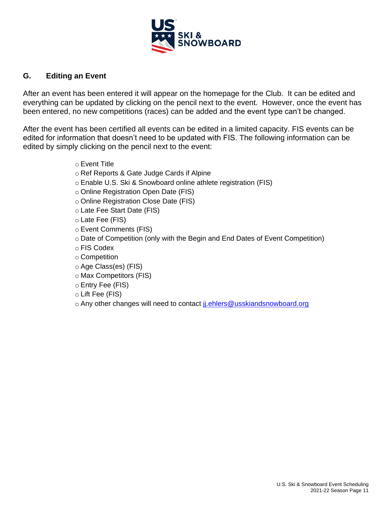

### **G. Editing an Event**

After an event has been entered it will appear on the homepage for the Club. It can be edited and everything can be updated by clicking on the pencil next to the event. However, once the event has been entered, no new competitions (races) can be added and the event type can't be changed.

After the event has been certified all events can be edited in a limited capacity. FIS events can be edited for information that doesn't need to be updated with FIS. The following information can be edited by simply clicking on the pencil next to the event:

- o Event Title
- o Ref Reports & Gate Judge Cards if Alpine
- o Enable U.S. Ski & Snowboard online athlete registration (FIS)
- o Online Registration Open Date (FIS)
- o Online Registration Close Date (FIS)
- o Late Fee Start Date (FIS)
- o Late Fee (FIS)
- o Event Comments (FIS)
- o Date of Competition (only with the Begin and End Dates of Event Competition)
- o FIS Codex
- o Competition
- o Age Class(es) (FIS)
- o Max Competitors (FIS)
- o Entry Fee (FIS)
- o Lift Fee (FIS)
- o Any other changes will need to contact ji.ehlers@usskiandsnowboard.org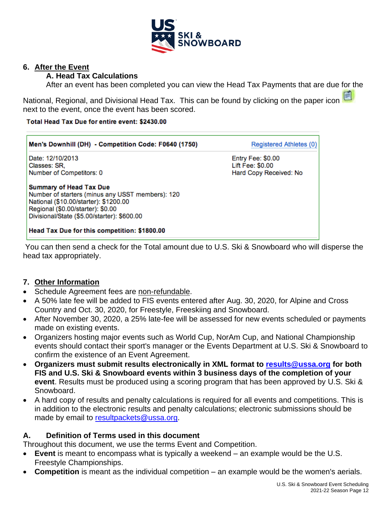

#### **6. After the Event**

### **A. Head Tax Calculations**

After an event has been completed you can view the Head Tax Payments that are due for the

National, Regional, and Divisional Head Tax. This can be found by clicking on the paper icon next to the event, once the event has been scored.

#### Total Head Tax Due for entire event: \$2430.00

| Men's Downhill (DH) - Competition Code: F0640 (1750)                                                                                                                                                            | Registered Athletes (0)                    |
|-----------------------------------------------------------------------------------------------------------------------------------------------------------------------------------------------------------------|--------------------------------------------|
| Date: 12/10/2013                                                                                                                                                                                                | Entry Fee: \$0.00                          |
| Classes: SR.<br>Number of Competitors: 0                                                                                                                                                                        | Lift Fee: \$0.00<br>Hard Copy Received: No |
| <b>Summary of Head Tax Due</b><br>Number of starters (minus any USST members): 120<br>National (\$10.00/starter): \$1200.00<br>Regional (\$0.00/starter): \$0.00<br>Divisional/State (\$5.00/starter): \$600.00 |                                            |
| Head Tax Due for this competition: \$1800.00                                                                                                                                                                    |                                            |

You can then send a check for the Total amount due to U.S. Ski & Snowboard who will disperse the head tax appropriately.

#### **7. Other Information**

- Schedule Agreement fees are non-refundable.
- A 50% late fee will be added to FIS events entered after Aug. 30, 2020, for Alpine and Cross Country and Oct. 30, 2020, for Freestyle, Freeskiing and Snowboard.
- After November 30, 2020, a 25% late-fee will be assessed for new events scheduled or payments made on existing events.
- Organizers hosting major events such as World Cup, NorAm Cup, and National Championship events should contact their sport's manager or the Events Department at U.S. Ski & Snowboard to confirm the existence of an Event Agreement.
- **Organizers must submit results electronically in XML format to [results@ussa.org](mailto:results@ussa.org) for both FIS and U.S. Ski & Snowboard events within 3 business days of the completion of your event**. Results must be produced using a scoring program that has been approved by U.S. Ski & Snowboard.
- A hard copy of results and penalty calculations is required for all events and competitions. This is in addition to the electronic results and penalty calculations; electronic submissions should be made by email to [resultpackets@ussa.org.](mailto:resultpackets@ussa.org)

# **A. Definition of Terms used in this document**

Throughout this document, we use the terms Event and Competition.

- **Event** is meant to encompass what is typically a weekend an example would be the U.S. Freestyle Championships.
- **Competition** is meant as the individual competition an example would be the women's aerials.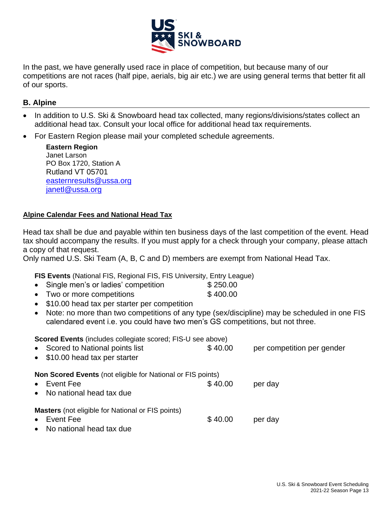

In the past, we have generally used race in place of competition, but because many of our competitions are not races (half pipe, aerials, big air etc.) we are using general terms that better fit all of our sports.

#### **B. Alpine**

- In addition to U.S. Ski & Snowboard head tax collected, many regions/divisions/states collect an additional head tax. Consult your local office for additional head tax requirements.
- For Eastern Region please mail your completed schedule agreements.

**Eastern Region** Janet Larson PO Box 1720, Station A Rutland VT 05701 [easternresults@ussa.org](file:///C:/Users/jj.ehlers/Google%20Drive/Office%20Docs/2014-15/Documents-JJ/AppData/Local/Microsoft/Windows/Temporary%20Internet%20Files/Content.Outlook/AppData/Local/Microsoft/Windows/Temporary%20Internet%20Files/Content.Outlook/ZKEL3B58/easternresults@ussa.org) [janetl@ussa.org](mailto:janetl@ussa.org)

#### **Alpine Calendar Fees and National Head Tax**

Head tax shall be due and payable within ten business days of the last competition of the event. Head tax should accompany the results. If you must apply for a check through your company, please attach a copy of that request.

Only named U.S. Ski Team (A, B, C and D) members are exempt from National Head Tax.

**FIS Events** (National FIS, Regional FIS, FIS University, Entry League)

|  | Single men's or ladies' competition | \$250.00 |
|--|-------------------------------------|----------|
|  |                                     |          |

- Two or more competitions \$400.00
- \$10.00 head tax per starter per competition
- Note: no more than two competitions of any type (sex/discipline) may be scheduled in one FIS calendared event i.e. you could have two men's GS competitions, but not three.

| <b>Scored Events (includes collegiate scored; FIS-U see above)</b><br>• Scored to National points list<br>• \$10.00 head tax per starter | \$40.00 | per competition per gender |
|------------------------------------------------------------------------------------------------------------------------------------------|---------|----------------------------|
| <b>Non Scored Events (not eligible for National or FIS points)</b><br>Event Fee<br>$\bullet$<br>No national head tax due<br>$\bullet$    | \$40.00 | per day                    |
| <b>Masters</b> (not eligible for National or FIS points)<br>Event Fee<br>$\bullet$<br>No national head tax due<br>$\bullet$              | \$40.00 | per day                    |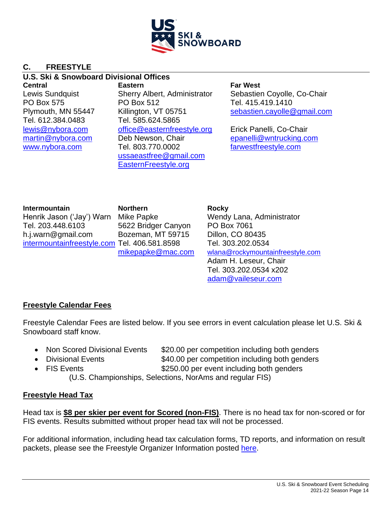

# **C. FREESTYLE**

#### **U.S. Ski & Snowboard Divisional Offices**

Tel. 612.384.0483 Tel. 585.624.5865

**Central Eastern Far West** PO Box 575 PO Box 512 Tel. 415.419.1410 [lewis@nybora.com](mailto:lewis@nybora.com) [office@easternfreestyle.org](mailto:office@easternfreestyle.org) Erick Panelli, Co-Chair [martin@nybora.com](file:///C:/Users/jj.ehlers/Google%20Drive/Office%20Docs/Documents-JJ/Event%20Administration/martin@nybora.com) Deb Newson, Chair [epanelli@wntrucking.com](file:///C:/Users/jj.ehlers/Google%20Drive/Office%20Docs/Documents-JJ/Event%20Administration/epanelli@wntrucking.com) [www.nybora.com](file:///C:/Users/jj.ehlers/Google%20Drive/Office%20Docs/Documents-JJ/Event%20Administration/www.nybora.com) Tel. 803.770.0002 [farwestfreestyle.com](file:///C:/Users/jj.ehlers/Google%20Drive/Office%20Docs/Documents-JJ/Event%20Administration/farwestfreestyle.com) [ussaeastfree@gmail.com](mailto:ussaeastfree@gmail.com) [EasternFreestyle.org](http://www.easternfreestyle.org/)

Lewis Sundquist Sherry Albert, Administrator Sebastien Coyolle, Co-Chair Plymouth, MN 55447 Killington, VT 05751 [sebastien.cayolle@gmail.com](file:///C:/Users/jj.ehlers/Google%20Drive/Office%20Docs/Documents-JJ/Event%20Administration/sebastien.cayolle@gmail.com)

**Intermountain Northern Rocky** Henrik Jason ('Jay') Warn Mike Papke Wendy Lana, Administrator Tel. 203.448.6103 5622 Bridger Canyon PO Box 7061 h.j.warn@gmail.com Bozeman, MT 59715 Dillon, CO 80435 [intermountainfreestyle.com](http://www.intermountainfreestyle.org/) Tel. 406.581.8598 Tel. 303.202.0534

[mikepapke@mac.com](mailto:mikepapke@mac.com) [wlana@rockymountainfreestyle.com](file:///C:/Users/jj.ehlers/Google%20Drive/Office%20Docs/Documents-JJ/Event%20Administration/wlana@rockymountainfreestyle.com) Adam H. Leseur, Chair Tel. 303.202.0534 x202 [adam@vaileseur.com](file:///C:/Users/jj.ehlers/Google%20Drive/Office%20Docs/Documents-JJ/Event%20Administration/adam@vaileseur.com)

# **Freestyle Calendar Fees**

Freestyle Calendar Fees are listed below. If you see errors in event calculation please let U.S. Ski & Snowboard staff know.

- Non Scored Divisional Events \$20.00 per competition including both genders
	- Divisional Events \$40.00 per competition including both genders
- 

• FIS Events **\$250.00** per event including both genders

(U.S. Championships, Selections, NorAms and regular FIS)

# **Freestyle Head Tax**

Head tax is **\$8 per skier per event for Scored (non-FIS)**. There is no head tax for non-scored or for FIS events. Results submitted without proper head tax will not be processed.

For additional information, including head tax calculation forms, TD reports, and information on result packets, please see the Freestyle Organizer Information posted [here.](https://www.usskiandsnowboard.org/sport-development/officials-development/freestyle-officials-and-judges)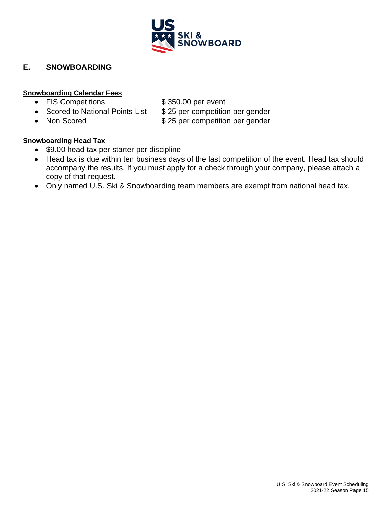

# **E. SNOWBOARDING**

#### **Snowboarding Calendar Fees**

- FIS Competitions \$350.00 per event
- 
- 

- Scored to National Points List \$25 per competition per gender
- Non Scored **\$25 per competition per gender**

#### **Snowboarding Head Tax**

- \$9.00 head tax per starter per discipline
- Head tax is due within ten business days of the last competition of the event. Head tax should accompany the results. If you must apply for a check through your company, please attach a copy of that request.
- Only named U.S. Ski & Snowboarding team members are exempt from national head tax.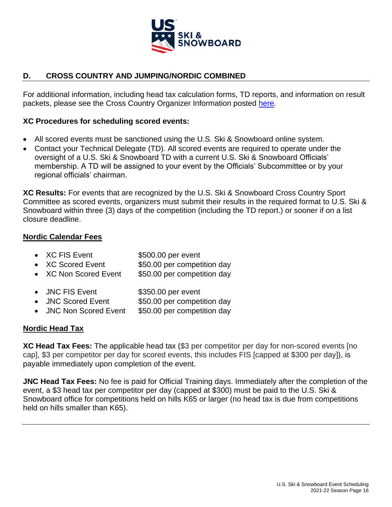

# **D. CROSS COUNTRY AND JUMPING/NORDIC COMBINED**

For additional information, including head tax calculation forms, TD reports, and information on result packets, please see the Cross Country Organizer Information posted [here.](https://www.usskiandsnowboard.org/sport-development/officials-development/nordic-officials-judges)

### **XC Procedures for scheduling scored events:**

- All scored events must be sanctioned using the U.S. Ski & Snowboard online system.
- Contact your Technical Delegate (TD). All scored events are required to operate under the oversight of a U.S. Ski & Snowboard TD with a current U.S. Ski & Snowboard Officials' membership. A TD will be assigned to your event by the Officials' Subcommittee or by your regional officials' chairman.

**XC Results:** For events that are recognized by the U.S. Ski & Snowboard Cross Country Sport Committee as scored events, organizers must submit their results in the required format to U.S. Ski & Snowboard within three (3) days of the competition (including the TD report.) or sooner if on a list closure deadline.

# **Nordic Calendar Fees**

- XC FIS Event \$500.00 per event
- XC Scored Event \$50.00 per competition day
- XC Non Scored Event \$50.00 per competition day
- JNC FIS Event \$350.00 per event
- JNC Scored Event \$50.00 per competition day
- JNC Non Scored Event \$50.00 per competition day

# **Nordic Head Tax**

**XC Head Tax Fees:** The applicable head tax (\$3 per competitor per day for non-scored events [no cap], \$3 per competitor per day for scored events, this includes FIS [capped at \$300 per day]), is payable immediately upon completion of the event.

**JNC Head Tax Fees:** No fee is paid for Official Training days. Immediately after the completion of the event, a \$3 head tax per competitor per day (capped at \$300) must be paid to the U.S. Ski & Snowboard office for competitions held on hills K65 or larger (no head tax is due from competitions held on hills smaller than K65).